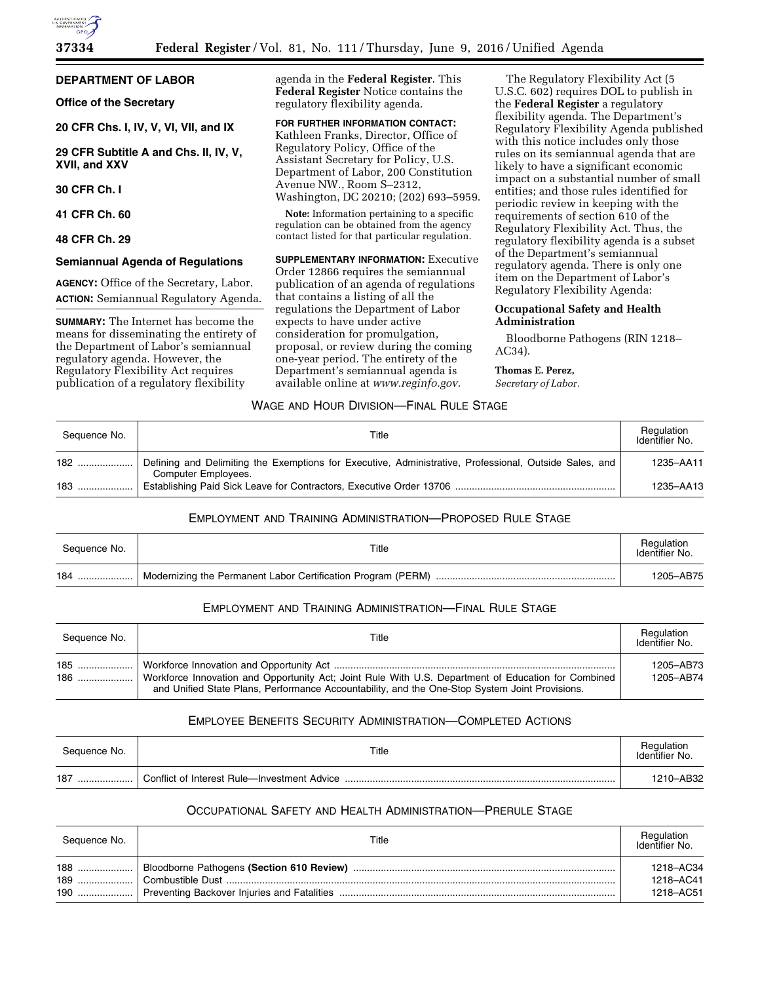

## **DEPARTMENT OF LABOR**

**Office of the Secretary** 

**20 CFR Chs. I, IV, V, VI, VII, and IX** 

**29 CFR Subtitle A and Chs. II, IV, V, XVII, and XXV** 

**30 CFR Ch. I** 

**41 CFR Ch. 60** 

**48 CFR Ch. 29** 

### **Semiannual Agenda of Regulations**

**AGENCY:** Office of the Secretary, Labor. **ACTION:** Semiannual Regulatory Agenda.

**SUMMARY:** The Internet has become the means for disseminating the entirety of the Department of Labor's semiannual regulatory agenda. However, the Regulatory Flexibility Act requires publication of a regulatory flexibility

agenda in the **Federal Register**. This **Federal Register** Notice contains the regulatory flexibility agenda.

**FOR FURTHER INFORMATION CONTACT:**  Kathleen Franks, Director, Office of Regulatory Policy, Office of the Assistant Secretary for Policy, U.S. Department of Labor, 200 Constitution Avenue NW., Room S–2312, Washington, DC 20210; (202) 693–5959.

**Note:** Information pertaining to a specific regulation can be obtained from the agency contact listed for that particular regulation.

**SUPPLEMENTARY INFORMATION:** Executive Order 12866 requires the semiannual publication of an agenda of regulations that contains a listing of all the regulations the Department of Labor expects to have under active consideration for promulgation, proposal, or review during the coming one-year period. The entirety of the Department's semiannual agenda is available online at *[www.reginfo.gov.](http://www.reginfo.gov)* 

The Regulatory Flexibility Act (5 U.S.C. 602) requires DOL to publish in the **Federal Register** a regulatory flexibility agenda. The Department's Regulatory Flexibility Agenda published with this notice includes only those rules on its semiannual agenda that are likely to have a significant economic impact on a substantial number of small entities; and those rules identified for periodic review in keeping with the requirements of section 610 of the Regulatory Flexibility Act. Thus, the regulatory flexibility agenda is a subset of the Department's semiannual regulatory agenda. There is only one item on the Department of Labor's Regulatory Flexibility Agenda:

## **Occupational Safety and Health Administration**

Bloodborne Pathogens (RIN 1218– AC34).

#### **Thomas E. Perez,**

*Secretary of Labor.* 

## WAGE AND HOUR DIVISION—FINAL RULE STAGE

| Sequence No. | Title                                                                                                                         | Regulation<br>Identifier No. |
|--------------|-------------------------------------------------------------------------------------------------------------------------------|------------------------------|
| 182          | Defining and Delimiting the Exemptions for Executive, Administrative, Professional, Outside Sales, and<br>Computer Employees. | 1235-AA11                    |
|              |                                                                                                                               | 1235-AA13                    |

## EMPLOYMENT AND TRAINING ADMINISTRATION—PROPOSED RULE STAGE

| Sequence No. | Title | Regulation<br>Identifier No. |
|--------------|-------|------------------------------|
| 184          |       | 1205-AB75                    |

# EMPLOYMENT AND TRAINING ADMINISTRATION—FINAL RULE STAGE

| Sequence No. | Title                                                                                                                                                                                                 | Regulation<br>Identifier No. |
|--------------|-------------------------------------------------------------------------------------------------------------------------------------------------------------------------------------------------------|------------------------------|
|              | Workforce Innovation and Opportunity Act; Joint Rule With U.S. Department of Education for Combined<br>and Unified State Plans, Performance Accountability, and the One-Stop System Joint Provisions. | 1205-AB73<br>1205-AB74       |

# EMPLOYEE BENEFITS SECURITY ADMINISTRATION—COMPLETED ACTIONS

| Sequence No. | Title                                       | Regulation<br>Identifier No. |
|--------------|---------------------------------------------|------------------------------|
| 187<br>      | Conflict of Interest Rule-Investment Advice | 1210-AB32                    |

# OCCUPATIONAL SAFETY AND HEALTH ADMINISTRATION—PRERULE STAGE

| Sequence No. | Title | Regulation<br>Identifier No.        |
|--------------|-------|-------------------------------------|
| $188$        |       | 1218-AC34<br>1218-AC41<br>1218-AC51 |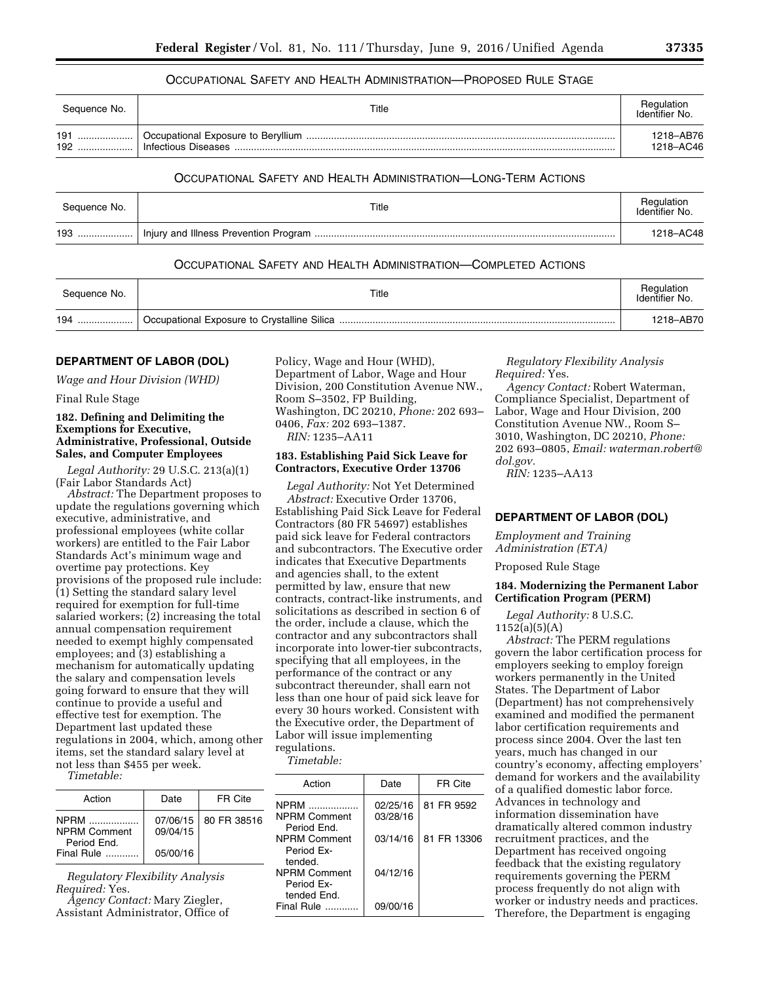## OCCUPATIONAL SAFETY AND HEALTH ADMINISTRATION—PROPOSED RULE STAGE

| Sequence No.   | Title               | Regulation<br>Identifier No. |
|----------------|---------------------|------------------------------|
| 191<br><br>192 | Infectious Diseases | 1218-AB76<br>1218-AC46       |

## OCCUPATIONAL SAFETY AND HEALTH ADMINISTRATION—LONG-TERM ACTIONS

| Sequence No. | Title | Regulation<br>Identifier No. |
|--------------|-------|------------------------------|
| 193          |       | 1218-AC48                    |

## OCCUPATIONAL SAFETY AND HEALTH ADMINISTRATION—COMPLETED ACTIONS

| Sequence No. | Title | Regulation<br>Identifier No. |
|--------------|-------|------------------------------|
| 194<br>      |       | 1218-AB70                    |

#### **DEPARTMENT OF LABOR (DOL)**

*Wage and Hour Division (WHD)* 

Final Rule Stage

## **182. Defining and Delimiting the Exemptions for Executive, Administrative, Professional, Outside Sales, and Computer Employees**

*Legal Authority:* 29 U.S.C. 213(a)(1) (Fair Labor Standards Act)

*Abstract:* The Department proposes to update the regulations governing which executive, administrative, and professional employees (white collar workers) are entitled to the Fair Labor Standards Act's minimum wage and overtime pay protections. Key provisions of the proposed rule include: (1) Setting the standard salary level required for exemption for full-time salaried workers; (2) increasing the total annual compensation requirement needed to exempt highly compensated employees; and (3) establishing a mechanism for automatically updating the salary and compensation levels going forward to ensure that they will continue to provide a useful and effective test for exemption. The Department last updated these regulations in 2004, which, among other items, set the standard salary level at not less than \$455 per week.

*Timetable:* 

| Action                                           | Date                 | FR Cite     |
|--------------------------------------------------|----------------------|-------------|
| <b>NPRM</b><br><b>NPRM Comment</b><br>Period Fnd | 07/06/15<br>09/04/15 | 80 FR 38516 |
| Final Rule                                       | 05/00/16             |             |

*Regulatory Flexibility Analysis Required:* Yes.

*Agency Contact:* Mary Ziegler, Assistant Administrator, Office of Policy, Wage and Hour (WHD), Department of Labor, Wage and Hour Division, 200 Constitution Avenue NW., Room S–3502, FP Building, Washington, DC 20210, *Phone:* 202 693– 0406, *Fax:* 202 693–1387.

*RIN:* 1235–AA11

### **183. Establishing Paid Sick Leave for Contractors, Executive Order 13706**

*Legal Authority:* Not Yet Determined *Abstract:* Executive Order 13706, Establishing Paid Sick Leave for Federal Contractors (80 FR 54697) establishes paid sick leave for Federal contractors and subcontractors. The Executive order indicates that Executive Departments and agencies shall, to the extent permitted by law, ensure that new contracts, contract-like instruments, and solicitations as described in section 6 of the order, include a clause, which the contractor and any subcontractors shall incorporate into lower-tier subcontracts, specifying that all employees, in the performance of the contract or any subcontract thereunder, shall earn not less than one hour of paid sick leave for every 30 hours worked. Consistent with the Executive order, the Department of Labor will issue implementing regulations.

*Timetable:* 

| Action                                    | Date                 | FR Cite     |
|-------------------------------------------|----------------------|-------------|
| NPRM<br>NPRM Comment<br>Period Fnd.       | 02/25/16<br>03/28/16 | 81 FR 9592  |
| NPRM Comment<br>Period Fx-<br>tended.     | 03/14/16             | 81 FR 13306 |
| NPRM Comment<br>Period Fx-<br>tended Fnd. | 04/12/16             |             |
| Final Rule .                              | 09/00/16             |             |

*Regulatory Flexibility Analysis Required:* Yes.

*Agency Contact:* Robert Waterman, Compliance Specialist, Department of Labor, Wage and Hour Division, 200 Constitution Avenue NW., Room S– 3010, Washington, DC 20210, *Phone:*  202 693–0805, *Email: [waterman.robert@](mailto:waterman.robert@dol.gov) [dol.gov.](mailto:waterman.robert@dol.gov)* 

*RIN:* 1235–AA13

### **DEPARTMENT OF LABOR (DOL)**

*Employment and Training Administration (ETA)* 

Proposed Rule Stage

### **184. Modernizing the Permanent Labor Certification Program (PERM)**

*Legal Authority:* 8 U.S.C. 1152(a)(5)(A)

*Abstract:* The PERM regulations govern the labor certification process for employers seeking to employ foreign workers permanently in the United States. The Department of Labor (Department) has not comprehensively examined and modified the permanent labor certification requirements and process since 2004. Over the last ten years, much has changed in our country's economy, affecting employers' demand for workers and the availability of a qualified domestic labor force. Advances in technology and information dissemination have dramatically altered common industry recruitment practices, and the Department has received ongoing feedback that the existing regulatory requirements governing the PERM process frequently do not align with worker or industry needs and practices. Therefore, the Department is engaging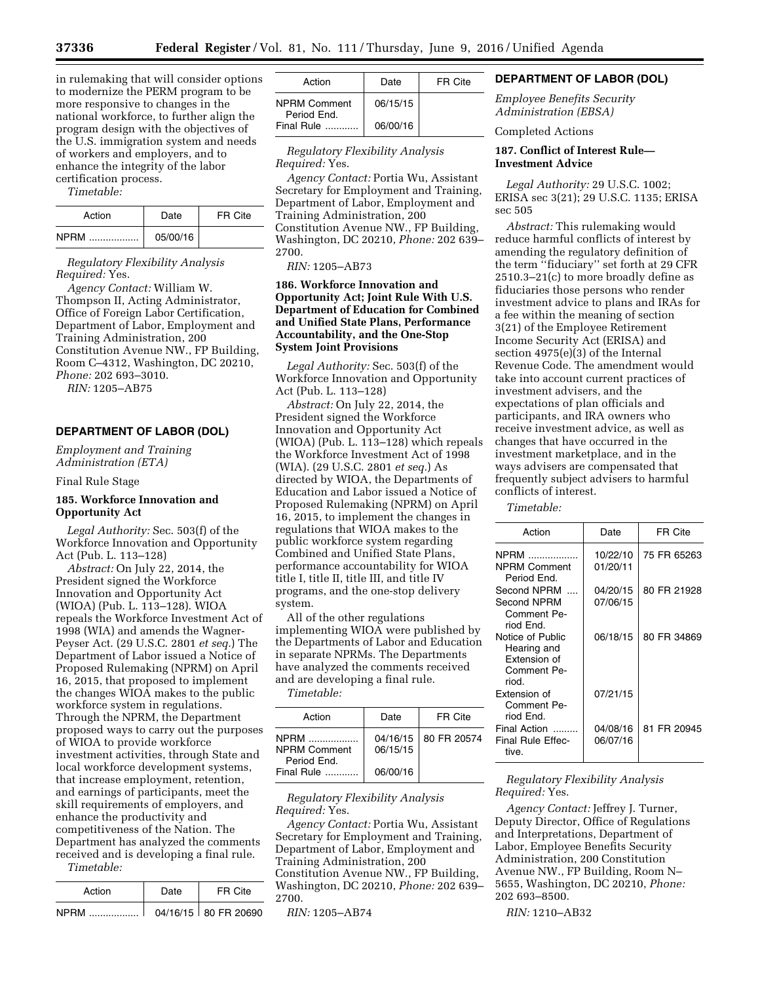in rulemaking that will consider options to modernize the PERM program to be more responsive to changes in the national workforce, to further align the program design with the objectives of the U.S. immigration system and needs of workers and employers, and to enhance the integrity of the labor certification process.

*Timetable:* 

| Action          | Date     | FR Cite |
|-----------------|----------|---------|
| <b>NPRM</b><br> | 05/00/16 |         |

*Regulatory Flexibility Analysis Required:* Yes.

*Agency Contact:* William W. Thompson II, Acting Administrator, Office of Foreign Labor Certification, Department of Labor, Employment and Training Administration, 200 Constitution Avenue NW., FP Building, Room C–4312, Washington, DC 20210, *Phone:* 202 693–3010.

*RIN:* 1205–AB75

### **DEPARTMENT OF LABOR (DOL)**

*Employment and Training Administration (ETA)* 

Final Rule Stage

## **185. Workforce Innovation and Opportunity Act**

*Legal Authority:* Sec. 503(f) of the Workforce Innovation and Opportunity Act (Pub. L. 113–128)

*Abstract:* On July 22, 2014, the President signed the Workforce Innovation and Opportunity Act (WIOA) (Pub. L. 113–128). WIOA repeals the Workforce Investment Act of 1998 (WIA) and amends the Wagner-Peyser Act. (29 U.S.C. 2801 *et seq.*) The Department of Labor issued a Notice of Proposed Rulemaking (NPRM) on April 16, 2015, that proposed to implement the changes WIOA makes to the public workforce system in regulations. Through the NPRM, the Department proposed ways to carry out the purposes of WIOA to provide workforce investment activities, through State and local workforce development systems, that increase employment, retention, and earnings of participants, meet the skill requirements of employers, and enhance the productivity and competitiveness of the Nation. The Department has analyzed the comments received and is developing a final rule.

| Action      | Date | FR Cite                |
|-------------|------|------------------------|
| <b>NPRM</b> |      | 04/16/15   80 FR 20690 |

| Action                             | Date     | FR Cite |
|------------------------------------|----------|---------|
| <b>NPRM Comment</b><br>Period End. | 06/15/15 |         |
| Final Rule                         | 06/00/16 |         |

*Regulatory Flexibility Analysis Required:* Yes.

*Agency Contact:* Portia Wu, Assistant Secretary for Employment and Training, Department of Labor, Employment and Training Administration, 200 Constitution Avenue NW., FP Building, Washington, DC 20210, *Phone:* 202 639– 2700.

*RIN:* 1205–AB73

## **186. Workforce Innovation and Opportunity Act; Joint Rule With U.S. Department of Education for Combined and Unified State Plans, Performance Accountability, and the One-Stop System Joint Provisions**

*Legal Authority:* Sec. 503(f) of the Workforce Innovation and Opportunity Act (Pub. L. 113–128)

*Abstract:* On July 22, 2014, the President signed the Workforce Innovation and Opportunity Act (WIOA) (Pub. L. 113–128) which repeals the Workforce Investment Act of 1998 (WIA). (29 U.S.C. 2801 *et seq.*) As directed by WIOA, the Departments of Education and Labor issued a Notice of Proposed Rulemaking (NPRM) on April 16, 2015, to implement the changes in regulations that WIOA makes to the public workforce system regarding Combined and Unified State Plans, performance accountability for WIOA title I, title II, title III, and title IV programs, and the one-stop delivery system.

All of the other regulations implementing WIOA were published by the Departments of Labor and Education in separate NPRMs. The Departments have analyzed the comments received and are developing a final rule.

*Timetable:* 

| Action                                            | Date                 | FR Cite     |
|---------------------------------------------------|----------------------|-------------|
| <b>NPRM</b><br><b>NPRM Comment</b><br>Period End. | 04/16/15<br>06/15/15 | 80 FR 20574 |
| Final Rule                                        | 06/00/16             |             |

*Regulatory Flexibility Analysis Required:* Yes.

*Agency Contact:* Portia Wu, Assistant Secretary for Employment and Training, Department of Labor, Employment and Training Administration, 200 Constitution Avenue NW., FP Building, Washington, DC 20210, *Phone:* 202 639– 2700.

*RIN:* 1205–AB74

## **DEPARTMENT OF LABOR (DOL)**

*Employee Benefits Security Administration (EBSA)* 

Completed Actions

## **187. Conflict of Interest Rule— Investment Advice**

*Legal Authority:* 29 U.S.C. 1002; ERISA sec 3(21); 29 U.S.C. 1135; ERISA sec 505

*Abstract:* This rulemaking would reduce harmful conflicts of interest by amending the regulatory definition of the term ''fiduciary'' set forth at 29 CFR 2510.3–21(c) to more broadly define as fiduciaries those persons who render investment advice to plans and IRAs for a fee within the meaning of section 3(21) of the Employee Retirement Income Security Act (ERISA) and section 4975(e)(3) of the Internal Revenue Code. The amendment would take into account current practices of investment advisers, and the expectations of plan officials and participants, and IRA owners who receive investment advice, as well as changes that have occurred in the investment marketplace, and in the ways advisers are compensated that frequently subject advisers to harmful conflicts of interest.

#### *Timetable:*

| Action                                                                  | Date     | FR Cite     |
|-------------------------------------------------------------------------|----------|-------------|
| <b>NPRM</b>                                                             | 10/22/10 | 75 FR 65263 |
| <b>NPRM Comment</b><br>Period End.                                      | 01/20/11 |             |
| Second NPRM                                                             | 04/20/15 | 80 FR 21928 |
| <b>Second NPRM</b><br>Comment Pe-<br>riod End.                          | 07/06/15 |             |
| Notice of Public<br>Hearing and<br>Extension of<br>Comment Pe-<br>riod. | 06/18/15 | 80 FR 34869 |
| Extension of<br>Comment Pe-<br>riod End.                                | 07/21/15 |             |
| Final Action                                                            | 04/08/16 | 81 FR 20945 |
| Final Rule Effec-<br>tive.                                              | 06/07/16 |             |

## *Regulatory Flexibility Analysis Required:* Yes.

*Agency Contact:* Jeffrey J. Turner, Deputy Director, Office of Regulations and Interpretations, Department of Labor, Employee Benefits Security Administration, 200 Constitution Avenue NW., FP Building, Room N– 5655, Washington, DC 20210, *Phone:*  202 693–8500.

*RIN:* 1210–AB32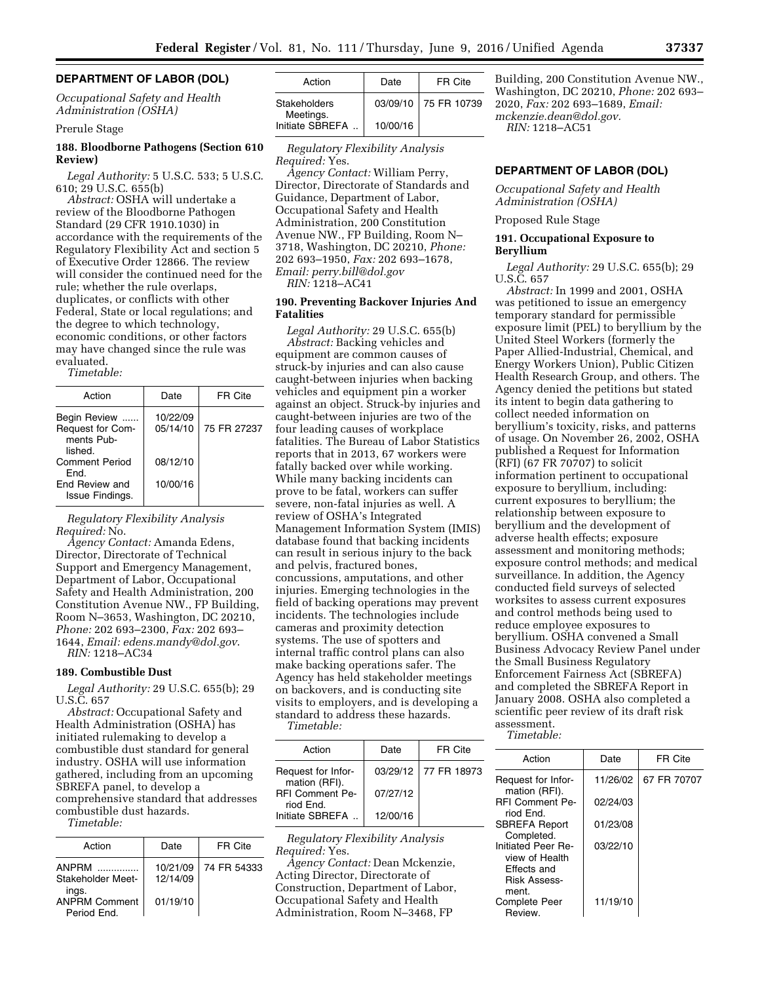### **DEPARTMENT OF LABOR (DOL)**

*Occupational Safety and Health Administration (OSHA)* 

## Prerule Stage

## **188. Bloodborne Pathogens (Section 610 Review)**

*Legal Authority:* 5 U.S.C. 533; 5 U.S.C. 610; 29 U.S.C. 655(b)

*Abstract:* OSHA will undertake a review of the Bloodborne Pathogen Standard (29 CFR 1910.1030) in accordance with the requirements of the Regulatory Flexibility Act and section 5 of Executive Order 12866. The review will consider the continued need for the rule; whether the rule overlaps, duplicates, or conflicts with other Federal, State or local regulations; and the degree to which technology, economic conditions, or other factors may have changed since the rule was evaluated.

*Timetable:* 

| Action                                                    | Date                 | FR Cite     |  |
|-----------------------------------------------------------|----------------------|-------------|--|
| Begin Review<br>Request for Com-<br>ments Pub-<br>lished. | 10/22/09<br>05/14/10 | 75 FR 27237 |  |
| <b>Comment Period</b><br>Fnd.                             | 08/12/10             |             |  |
| End Review and<br>Issue Findings.                         | 10/00/16             |             |  |

*Regulatory Flexibility Analysis Required:* No.

*Agency Contact:* Amanda Edens, Director, Directorate of Technical Support and Emergency Management, Department of Labor, Occupational Safety and Health Administration, 200 Constitution Avenue NW., FP Building, Room N–3653, Washington, DC 20210, *Phone:* 202 693–2300, *Fax:* 202 693– 1644, *Email: [edens.mandy@dol.gov](mailto:edens.mandy@dol.gov)*.

*RIN:* 1218–AC34

#### **189. Combustible Dust**

*Legal Authority:* 29 U.S.C. 655(b); 29 U.S.C. 657

*Abstract:* Occupational Safety and Health Administration (OSHA) has initiated rulemaking to develop a combustible dust standard for general industry. OSHA will use information gathered, including from an upcoming SBREFA panel, to develop a comprehensive standard that addresses combustible dust hazards. *Timetable:* 

| Action                              | Date                 | FR Cite     |
|-------------------------------------|----------------------|-------------|
| ANPRM<br>Stakeholder Meet-<br>ings. | 10/21/09<br>12/14/09 | 74 FR 54333 |
| <b>ANPRM Comment</b><br>Period End. | 01/19/10             |             |

| Action                    | Date     | FR Cite              |
|---------------------------|----------|----------------------|
| Stakeholders<br>Meetings. |          | 03/09/10 75 FR 10739 |
| Initiate SBREFA           | 10/00/16 |                      |

*Regulatory Flexibility Analysis Required:* Yes.

*Agency Contact:* William Perry, Director, Directorate of Standards and Guidance, Department of Labor, Occupational Safety and Health Administration, 200 Constitution Avenue NW., FP Building, Room N– 3718, Washington, DC 20210, *Phone:*  202 693–1950, *Fax:* 202 693–1678, *Email: [perry.bill@dol.gov](mailto:perry.bill@dol.gov)  RIN:* 1218–AC41

## **190. Preventing Backover Injuries And Fatalities**

*Legal Authority:* 29 U.S.C. 655(b) *Abstract:* Backing vehicles and equipment are common causes of struck-by injuries and can also cause caught-between injuries when backing vehicles and equipment pin a worker against an object. Struck-by injuries and caught-between injuries are two of the four leading causes of workplace fatalities. The Bureau of Labor Statistics reports that in 2013, 67 workers were fatally backed over while working. While many backing incidents can prove to be fatal, workers can suffer severe, non-fatal injuries as well. A review of OSHA's Integrated Management Information System (IMIS) database found that backing incidents can result in serious injury to the back and pelvis, fractured bones, concussions, amputations, and other injuries. Emerging technologies in the field of backing operations may prevent incidents. The technologies include cameras and proximity detection systems. The use of spotters and internal traffic control plans can also make backing operations safer. The Agency has held stakeholder meetings on backovers, and is conducting site visits to employers, and is developing a standard to address these hazards. *Timetable:* 

| Action                              | Date     | FR Cite              |
|-------------------------------------|----------|----------------------|
| Request for Infor-<br>mation (RFI). |          | 03/29/12 77 FR 18973 |
| <b>RFI Comment Pe-</b><br>riod Fnd. | 07/27/12 |                      |
| Initiate SBREFA                     | 12/00/16 |                      |

*Regulatory Flexibility Analysis Required:* Yes.

*Agency Contact:* Dean Mckenzie, Acting Director, Directorate of Construction, Department of Labor, Occupational Safety and Health Administration, Room N–3468, FP

Building, 200 Constitution Avenue NW., Washington, DC 20210, *Phone:* 202 693– 2020, *Fax:* 202 693–1689, *Email: [mckenzie.dean@dol.gov.](mailto:mckenzie.dean@dol.gov)  RIN:* 1218–AC51

# **DEPARTMENT OF LABOR (DOL)**

*Occupational Safety and Health Administration (OSHA)* 

Proposed Rule Stage

### **191. Occupational Exposure to Beryllium**

*Legal Authority:* 29 U.S.C. 655(b); 29 U.S.C. 657

*Abstract:* In 1999 and 2001, OSHA was petitioned to issue an emergency temporary standard for permissible exposure limit (PEL) to beryllium by the United Steel Workers (formerly the Paper Allied-Industrial, Chemical, and Energy Workers Union), Public Citizen Health Research Group, and others. The Agency denied the petitions but stated its intent to begin data gathering to collect needed information on beryllium's toxicity, risks, and patterns of usage. On November 26, 2002, OSHA published a Request for Information (RFI) (67 FR 70707) to solicit information pertinent to occupational exposure to beryllium, including: current exposures to beryllium; the relationship between exposure to beryllium and the development of adverse health effects; exposure assessment and monitoring methods; exposure control methods; and medical surveillance. In addition, the Agency conducted field surveys of selected worksites to assess current exposures and control methods being used to reduce employee exposures to beryllium. OSHA convened a Small Business Advocacy Review Panel under the Small Business Regulatory Enforcement Fairness Act (SBREFA) and completed the SBREFA Report in January 2008. OSHA also completed a scientific peer review of its draft risk assessment.

*Timetable:* 

| Action                                                                     | Date     | FR Cite     |
|----------------------------------------------------------------------------|----------|-------------|
| Request for Infor-<br>mation (RFI).                                        | 11/26/02 | 67 FR 70707 |
| <b>RFI Comment Pe-</b><br>riod Fnd.                                        | 02/24/03 |             |
| <b>SBREFA Report</b><br>Completed.                                         | 01/23/08 |             |
| Initiated Peer Re-<br>view of Health<br>Effects and<br><b>Risk Assess-</b> | 03/22/10 |             |
| ment.<br>Complete Peer<br>Review.                                          | 11/19/10 |             |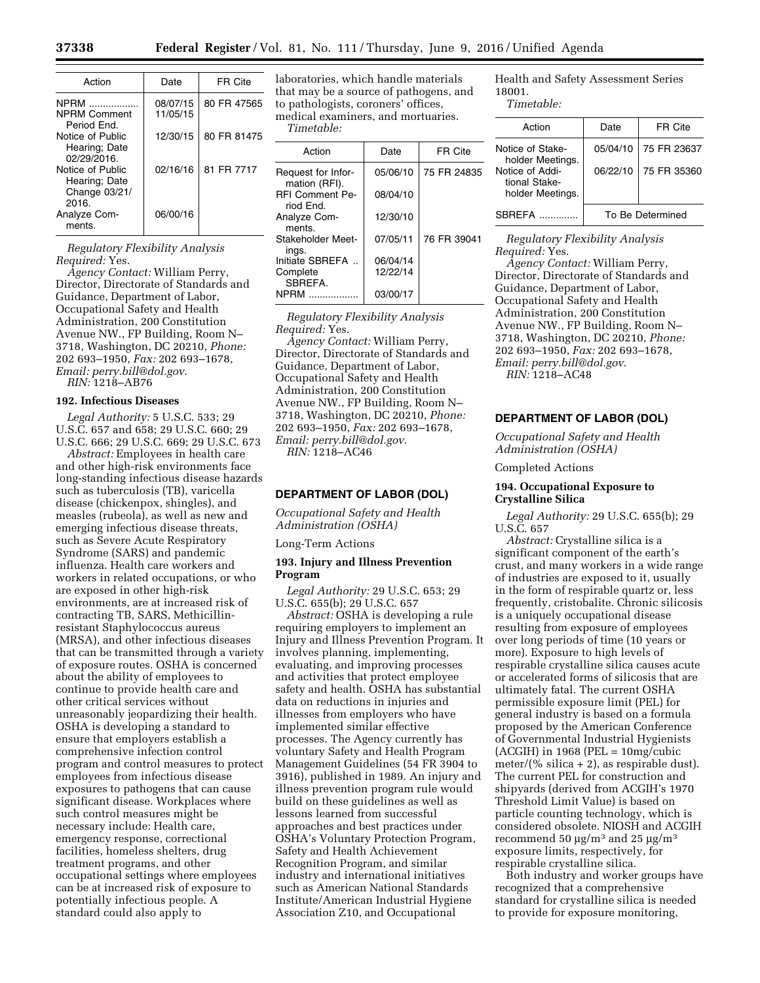| Action                                           | Date                 | FR Cite     |
|--------------------------------------------------|----------------------|-------------|
| <b>NPRM</b><br>. <b>.</b><br><b>NPRM Comment</b> | 08/07/15<br>11/05/15 | 80 FR 47565 |
| Period Fnd.<br>Notice of Public                  | 12/30/15             | 80 FR 81475 |
| Hearing; Date<br>02/29/2016.<br>Notice of Public | 02/16/16             | 81 FR 7717  |
| Hearing; Date<br>Change 03/21/                   |                      |             |
| 2016.<br>Analyze Com-                            | 06/00/16             |             |
| ments.                                           |                      |             |

*Regulatory Flexibility Analysis Required:* Yes.

*Agency Contact:* William Perry, Director, Directorate of Standards and Guidance, Department of Labor, Occupational Safety and Health Administration, 200 Constitution Avenue NW., FP Building, Room N– 3718, Washington, DC 20210, *Phone:*  202 693–1950, *Fax:* 202 693–1678, *Email: [perry.bill@dol.gov](mailto:perry.bill@dol.gov)*.

*RIN:* 1218–AB76

### **192. Infectious Diseases**

*Legal Authority:* 5 U.S.C. 533; 29 U.S.C. 657 and 658; 29 U.S.C. 660; 29 U.S.C. 666; 29 U.S.C. 669; 29 U.S.C. 673

*Abstract:* Employees in health care and other high-risk environments face long-standing infectious disease hazards such as tuberculosis (TB), varicella disease (chickenpox, shingles), and measles (rubeola), as well as new and emerging infectious disease threats, such as Severe Acute Respiratory Syndrome (SARS) and pandemic influenza. Health care workers and workers in related occupations, or who are exposed in other high-risk environments, are at increased risk of contracting TB, SARS, Methicillinresistant Staphylococcus aureus (MRSA), and other infectious diseases that can be transmitted through a variety of exposure routes. OSHA is concerned about the ability of employees to continue to provide health care and other critical services without unreasonably jeopardizing their health. OSHA is developing a standard to ensure that employers establish a comprehensive infection control program and control measures to protect employees from infectious disease exposures to pathogens that can cause significant disease. Workplaces where such control measures might be necessary include: Health care, emergency response, correctional facilities, homeless shelters, drug treatment programs, and other occupational settings where employees can be at increased risk of exposure to potentially infectious people. A standard could also apply to

laboratories, which handle materials that may be a source of pathogens, and to pathologists, coroners' offices, medical examiners, and mortuaries.

*Timetable:* 

| Action                              | Date     | FR Cite     |
|-------------------------------------|----------|-------------|
| Request for Infor-<br>mation (RFI). | 05/06/10 | 75 FR 24835 |
| <b>RFI Comment Pe-</b><br>riod End. | 08/04/10 |             |
| Analyze Com-<br>ments.              | 12/30/10 |             |
| Stakeholder Meet-<br>ings.          | 07/05/11 | 76 FR 39041 |
| Initiate SBREFA                     | 06/04/14 |             |
| Complete<br>SBREFA.                 | 12/22/14 |             |
| NPRM                                | 03/00/17 |             |

*Regulatory Flexibility Analysis Required:* Yes. *Agency Contact:* William Perry,

Director, Directorate of Standards and Guidance, Department of Labor, Occupational Safety and Health Administration, 200 Constitution Avenue NW., FP Building, Room N– 3718, Washington, DC 20210, *Phone:*  202 693–1950, *Fax:* 202 693–1678, *Email: [perry.bill@dol.gov](mailto:perry.bill@dol.gov)*. *RIN:* 1218–AC46

### **DEPARTMENT OF LABOR (DOL)**

*Occupational Safety and Health Administration (OSHA)* 

Long-Term Actions

### **193. Injury and Illness Prevention Program**

*Legal Authority:* 29 U.S.C. 653; 29 U.S.C. 655(b); 29 U.S.C. 657

*Abstract:* OSHA is developing a rule requiring employers to implement an Injury and Illness Prevention Program. It involves planning, implementing, evaluating, and improving processes and activities that protect employee safety and health. OSHA has substantial data on reductions in injuries and illnesses from employers who have implemented similar effective processes. The Agency currently has voluntary Safety and Health Program Management Guidelines (54 FR 3904 to 3916), published in 1989. An injury and illness prevention program rule would build on these guidelines as well as lessons learned from successful approaches and best practices under OSHA's Voluntary Protection Program, Safety and Health Achievement Recognition Program, and similar industry and international initiatives such as American National Standards Institute/American Industrial Hygiene Association Z10, and Occupational

Health and Safety Assessment Series 18001. *Timetable:* 

### Action | Date | FR Cite Notice of Stakeholder Meetings. 05/04/10 75 FR 23637 Notice of Additional Stakeholder Meetings. 06/22/10 75 FR 35360 SBREFA .............. To Be Determined

*Regulatory Flexibility Analysis Required:* Yes.

*Agency Contact:* William Perry, Director, Directorate of Standards and Guidance, Department of Labor, Occupational Safety and Health Administration, 200 Constitution Avenue NW., FP Building, Room N– 3718, Washington, DC 20210, *Phone:*  202 693–1950, *Fax:* 202 693–1678, *Email: [perry.bill@dol.gov](mailto:perry.bill@dol.gov)*. *RIN:* 1218–AC48

### **DEPARTMENT OF LABOR (DOL)**

*Occupational Safety and Health Administration (OSHA)* 

Completed Actions

### **194. Occupational Exposure to Crystalline Silica**

*Legal Authority:* 29 U.S.C. 655(b); 29 U.S.C. 657

*Abstract:* Crystalline silica is a significant component of the earth's crust, and many workers in a wide range of industries are exposed to it, usually in the form of respirable quartz or, less frequently, cristobalite. Chronic silicosis is a uniquely occupational disease resulting from exposure of employees over long periods of time (10 years or more). Exposure to high levels of respirable crystalline silica causes acute or accelerated forms of silicosis that are ultimately fatal. The current OSHA permissible exposure limit (PEL) for general industry is based on a formula proposed by the American Conference of Governmental Industrial Hygienists  $(ACGIH)$  in 1968 (PEL = 10mg/cubic meter/(% silica  $+ 2$ ), as respirable dust). The current PEL for construction and shipyards (derived from ACGIH's 1970 Threshold Limit Value) is based on particle counting technology, which is considered obsolete. NIOSH and ACGIH recommend 50  $\mu$ g/m<sup>3</sup> and 25  $\mu$ g/m<sup>3</sup> exposure limits, respectively, for respirable crystalline silica.

Both industry and worker groups have recognized that a comprehensive standard for crystalline silica is needed to provide for exposure monitoring,